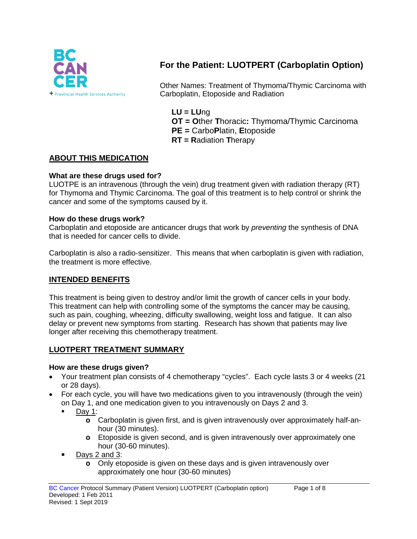

# **For the Patient: LUOTPERT (Carboplatin Option)**

Other Names: Treatment of Thymoma/Thymic Carcinoma with Carboplatin, Etoposide and Radiation

- **LU = LU**ng **OT = O**ther **T**horacic**:** Thymoma/Thymic Carcinoma
- **PE =** Carbo**P**latin, **E**toposide
- **RT = R**adiation **T**herapy

### **ABOUT THIS MEDICATION**

#### **What are these drugs used for?**

LUOTPE is an intravenous (through the vein) drug treatment given with radiation therapy (RT) for Thymoma and Thymic Carcinoma. The goal of this treatment is to help control or shrink the cancer and some of the symptoms caused by it.

#### **How do these drugs work?**

Carboplatin and etoposide are anticancer drugs that work by *preventing* the synthesis of DNA that is needed for cancer cells to divide.

Carboplatin is also a radio-sensitizer. This means that when carboplatin is given with radiation, the treatment is more effective.

#### **INTENDED BENEFITS**

This treatment is being given to destroy and/or limit the growth of cancer cells in your body. This treatment can help with controlling some of the symptoms the cancer may be causing, such as pain, coughing, wheezing, difficulty swallowing, weight loss and fatigue. It can also delay or prevent new symptoms from starting. Research has shown that patients may live longer after receiving this chemotherapy treatment.

#### **LUOTPERT TREATMENT SUMMARY**

#### **How are these drugs given?**

- Your treatment plan consists of 4 chemotherapy "cycles". Each cycle lasts 3 or 4 weeks (21) or 28 days).
- For each cycle, you will have two medications given to you intravenously (through the vein) on Day 1, and one medication given to you intravenously on Days 2 and 3.
	- Day 1:
		- **o** Carboplatin is given first, and is given intravenously over approximately half-anhour (30 minutes).
		- **o** Etoposide is given second, and is given intravenously over approximately one hour (30-60 minutes).
	- Days 2 and 3:
		- **o** Only etoposide is given on these days and is given intravenously over approximately one hour (30-60 minutes)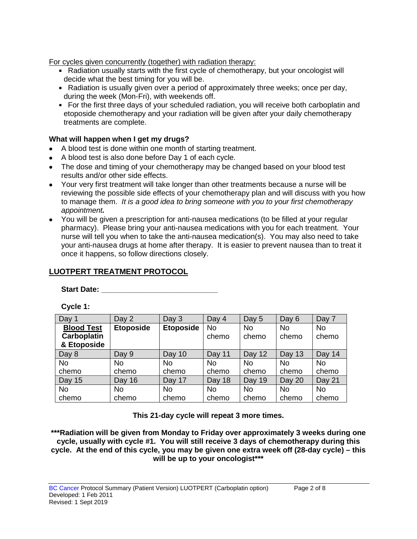For cycles given concurrently (together) with radiation therapy:

- Radiation usually starts with the first cycle of chemotherapy, but your oncologist will decide what the best timing for you will be.
- Radiation is usually given over a period of approximately three weeks; once per day, during the week (Mon-Fri), with weekends off.
- For the first three days of your scheduled radiation, you will receive both carboplatin and etoposide chemotherapy and your radiation will be given after your daily chemotherapy treatments are complete.

### **What will happen when I get my drugs?**

- A blood test is done within one month of starting treatment.
- A blood test is also done before Day 1 of each cycle.
- The dose and timing of your chemotherapy may be changed based on your blood test results and/or other side effects.
- Your very first treatment will take longer than other treatments because a nurse will be reviewing the possible side effects of your chemotherapy plan and will discuss with you how to manage them. *It is a good idea to bring someone with you to your first chemotherapy appointment.*
- You will be given a prescription for anti-nausea medications (to be filled at your regular pharmacy). Please bring your anti-nausea medications with you for each treatment. Your nurse will tell you when to take the anti-nausea medication(s). You may also need to take your anti-nausea drugs at home after therapy. It is easier to prevent nausea than to treat it once it happens, so follow directions closely.

# **LUOTPERT TREATMENT PROTOCOL**

**Start Date: \_\_\_\_\_\_\_\_\_\_\_\_\_\_\_\_\_\_\_\_\_\_\_\_\_\_\_\_**

**Cycle 1:**

| Day 1              | Day 2            | Day 3            | Day 4     | Day 5     | Day 6     | Day 7     |
|--------------------|------------------|------------------|-----------|-----------|-----------|-----------|
| <b>Blood Test</b>  | <b>Etoposide</b> | <b>Etoposide</b> | <b>No</b> | <b>No</b> | <b>No</b> | <b>No</b> |
| <b>Carboplatin</b> |                  |                  | chemo     | chemo     | chemo     | chemo     |
| & Etoposide        |                  |                  |           |           |           |           |
| Day 8              | Day 9            | Day 10           | Day 11    | Day 12    | Day 13    | Day 14    |
| <b>No</b>          | No               | No               | No        | No        | <b>No</b> | <b>No</b> |
| chemo              | chemo            | chemo            | chemo     | chemo     | chemo     | chemo     |
| Day 15             | Day 16           | Day 17           | Day 18    | Day 19    | Day 20    | Day 21    |
| <b>No</b>          | No.              | No               | No        | No        | <b>No</b> | <b>No</b> |
| chemo              | chemo            | chemo            | chemo     | chemo     | chemo     | chemo     |

**This 21-day cycle will repeat 3 more times.**

**\*\*\*Radiation will be given from Monday to Friday over approximately 3 weeks during one cycle, usually with cycle #1. You will still receive 3 days of chemotherapy during this cycle. At the end of this cycle, you may be given one extra week off (28-day cycle) – this will be up to your oncologist\*\*\***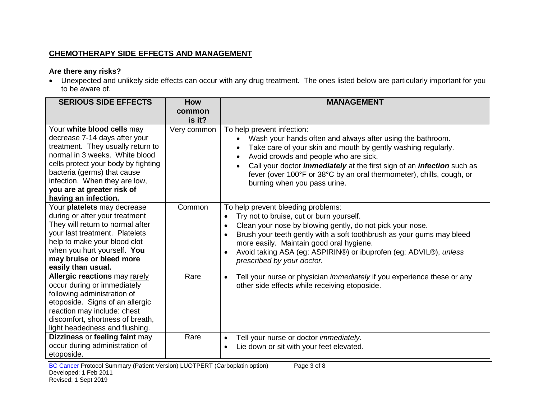### **CHEMOTHERAPY SIDE EFFECTS AND MANAGEMENT**

### **Are there any risks?**

• Unexpected and unlikely side effects can occur with any drug treatment. The ones listed below are particularly important for you to be aware of.

| <b>SERIOUS SIDE EFFECTS</b>                                                                                                                                                                                                                                                                     | <b>How</b><br>common | <b>MANAGEMENT</b>                                                                                                                                                                                                                                                                                                                                                                                               |
|-------------------------------------------------------------------------------------------------------------------------------------------------------------------------------------------------------------------------------------------------------------------------------------------------|----------------------|-----------------------------------------------------------------------------------------------------------------------------------------------------------------------------------------------------------------------------------------------------------------------------------------------------------------------------------------------------------------------------------------------------------------|
|                                                                                                                                                                                                                                                                                                 | is it?               |                                                                                                                                                                                                                                                                                                                                                                                                                 |
| Your white blood cells may<br>decrease 7-14 days after your<br>treatment. They usually return to<br>normal in 3 weeks. White blood<br>cells protect your body by fighting<br>bacteria (germs) that cause<br>infection. When they are low,<br>you are at greater risk of<br>having an infection. | Very common          | To help prevent infection:<br>Wash your hands often and always after using the bathroom.<br>Take care of your skin and mouth by gently washing regularly.<br>Avoid crowds and people who are sick.<br>Call your doctor <i>immediately</i> at the first sign of an <i>infection</i> such as<br>$\bullet$<br>fever (over 100°F or 38°C by an oral thermometer), chills, cough, or<br>burning when you pass urine. |
| Your platelets may decrease<br>during or after your treatment<br>They will return to normal after<br>your last treatment. Platelets<br>help to make your blood clot<br>when you hurt yourself. You<br>may bruise or bleed more<br>easily than usual.                                            | Common               | To help prevent bleeding problems:<br>Try not to bruise, cut or burn yourself.<br>Clean your nose by blowing gently, do not pick your nose.<br>$\bullet$<br>Brush your teeth gently with a soft toothbrush as your gums may bleed<br>more easily. Maintain good oral hygiene.<br>Avoid taking ASA (eg: ASPIRIN®) or ibuprofen (eg: ADVIL®), unless<br>prescribed by your doctor.                                |
| Allergic reactions may rarely<br>occur during or immediately<br>following administration of<br>etoposide. Signs of an allergic<br>reaction may include: chest<br>discomfort, shortness of breath,<br>light headedness and flushing.                                                             | Rare                 | Tell your nurse or physician <i>immediately</i> if you experience these or any<br>$\bullet$<br>other side effects while receiving etoposide.                                                                                                                                                                                                                                                                    |
| Dizziness or feeling faint may<br>occur during administration of<br>etoposide.                                                                                                                                                                                                                  | Rare                 | Tell your nurse or doctor <i>immediately</i> .<br>$\bullet$<br>Lie down or sit with your feet elevated.                                                                                                                                                                                                                                                                                                         |

BC Cancer Protocol Summary (Patient Version) LUOTPERT (Carboplatin option) Page 3 of 8 Developed: 1 Feb 2011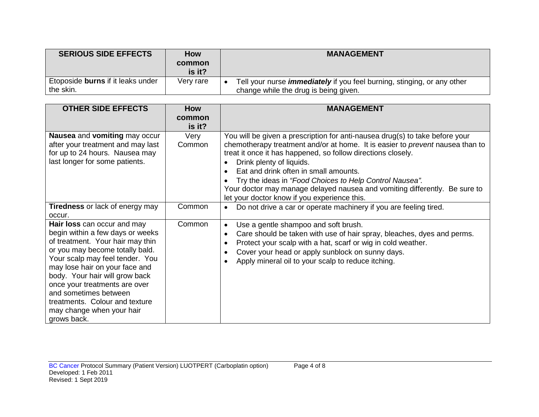| <b>SERIOUS SIDE EFFECTS</b>                    | <b>How</b><br>common<br>is it? | <b>MANAGEMENT</b>                                                                                                       |
|------------------------------------------------|--------------------------------|-------------------------------------------------------------------------------------------------------------------------|
| Etoposide burns if it leaks under<br>the skin. | Very rare                      | Tell your nurse <i>immediately</i> if you feel burning, stinging, or any other<br>change while the drug is being given. |

| <b>OTHER SIDE EFFECTS</b>                                                                                                                                                                                                                                                                                                                                                             | <b>How</b><br>common<br>is it? | <b>MANAGEMENT</b>                                                                                                                                                                                                                                                                                                                                                                                                                                                                                                            |
|---------------------------------------------------------------------------------------------------------------------------------------------------------------------------------------------------------------------------------------------------------------------------------------------------------------------------------------------------------------------------------------|--------------------------------|------------------------------------------------------------------------------------------------------------------------------------------------------------------------------------------------------------------------------------------------------------------------------------------------------------------------------------------------------------------------------------------------------------------------------------------------------------------------------------------------------------------------------|
| <b>Nausea</b> and vomiting may occur<br>after your treatment and may last<br>for up to 24 hours. Nausea may<br>last longer for some patients.                                                                                                                                                                                                                                         | Very<br>Common                 | You will be given a prescription for anti-nausea drug(s) to take before your<br>chemotherapy treatment and/or at home. It is easier to <i>prevent</i> nausea than to<br>treat it once it has happened, so follow directions closely.<br>Drink plenty of liquids.<br>$\bullet$<br>Eat and drink often in small amounts.<br>$\bullet$<br>Try the ideas in "Food Choices to Help Control Nausea".<br>Your doctor may manage delayed nausea and vomiting differently. Be sure to<br>let your doctor know if you experience this. |
| <b>Tiredness</b> or lack of energy may<br>occur.                                                                                                                                                                                                                                                                                                                                      | Common                         | Do not drive a car or operate machinery if you are feeling tired.<br>$\bullet$                                                                                                                                                                                                                                                                                                                                                                                                                                               |
| Hair loss can occur and may<br>begin within a few days or weeks<br>of treatment. Your hair may thin<br>or you may become totally bald.<br>Your scalp may feel tender. You<br>may lose hair on your face and<br>body. Your hair will grow back<br>once your treatments are over<br>and sometimes between<br>treatments. Colour and texture<br>may change when your hair<br>grows back. | Common                         | Use a gentle shampoo and soft brush.<br>$\bullet$<br>Care should be taken with use of hair spray, bleaches, dyes and perms.<br>$\bullet$<br>Protect your scalp with a hat, scarf or wig in cold weather.<br>$\bullet$<br>Cover your head or apply sunblock on sunny days.<br>$\bullet$<br>Apply mineral oil to your scalp to reduce itching.                                                                                                                                                                                 |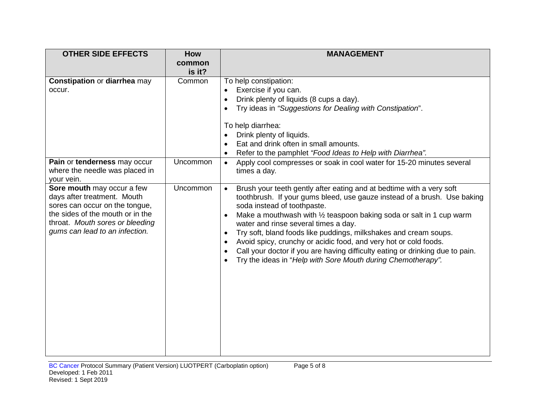| <b>OTHER SIDE EFFECTS</b>                                                                                                                                                                            | How              | <b>MANAGEMENT</b>                                                                                                                                                                                                                                                                                                                                                                                                                                                                                                                                                                                                                    |
|------------------------------------------------------------------------------------------------------------------------------------------------------------------------------------------------------|------------------|--------------------------------------------------------------------------------------------------------------------------------------------------------------------------------------------------------------------------------------------------------------------------------------------------------------------------------------------------------------------------------------------------------------------------------------------------------------------------------------------------------------------------------------------------------------------------------------------------------------------------------------|
|                                                                                                                                                                                                      | common           |                                                                                                                                                                                                                                                                                                                                                                                                                                                                                                                                                                                                                                      |
| Constipation or diarrhea may<br>occur.                                                                                                                                                               | is it?<br>Common | To help constipation:<br>Exercise if you can.<br>$\bullet$<br>Drink plenty of liquids (8 cups a day).<br>$\bullet$<br>Try ideas in "Suggestions for Dealing with Constipation".                                                                                                                                                                                                                                                                                                                                                                                                                                                      |
|                                                                                                                                                                                                      |                  | To help diarrhea:<br>Drink plenty of liquids.<br>Eat and drink often in small amounts.<br>Refer to the pamphlet "Food Ideas to Help with Diarrhea".<br>$\bullet$                                                                                                                                                                                                                                                                                                                                                                                                                                                                     |
| Pain or tenderness may occur<br>where the needle was placed in<br>your vein.                                                                                                                         | Uncommon         | Apply cool compresses or soak in cool water for 15-20 minutes several<br>$\bullet$<br>times a day.                                                                                                                                                                                                                                                                                                                                                                                                                                                                                                                                   |
| Sore mouth may occur a few<br>days after treatment. Mouth<br>sores can occur on the tongue,<br>the sides of the mouth or in the<br>throat. Mouth sores or bleeding<br>gums can lead to an infection. | Uncommon         | Brush your teeth gently after eating and at bedtime with a very soft<br>$\bullet$<br>toothbrush. If your gums bleed, use gauze instead of a brush. Use baking<br>soda instead of toothpaste.<br>Make a mouthwash with 1/2 teaspoon baking soda or salt in 1 cup warm<br>$\bullet$<br>water and rinse several times a day.<br>Try soft, bland foods like puddings, milkshakes and cream soups.<br>$\bullet$<br>Avoid spicy, crunchy or acidic food, and very hot or cold foods.<br>Call your doctor if you are having difficulty eating or drinking due to pain.<br>٠<br>Try the ideas in "Help with Sore Mouth during Chemotherapy". |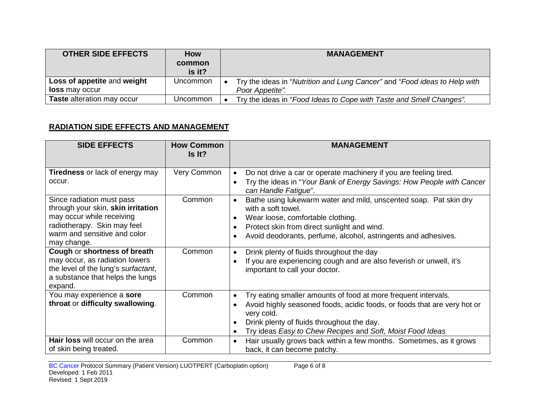| <b>OTHER SIDE EFFECTS</b>   | <b>How</b> | <b>MANAGEMENT</b>                                                         |
|-----------------------------|------------|---------------------------------------------------------------------------|
|                             | common     |                                                                           |
|                             | is it?     |                                                                           |
| Loss of appetite and weight | Uncommon   | Try the ideas in "Nutrition and Lung Cancer" and "Food ideas to Help with |
| <b>loss</b> may occur       |            | Poor Appetite".                                                           |
| Taste alteration may occur  | Uncommon   | Try the ideas in "Food Ideas to Cope with Taste and Smell Changes".       |

### **RADIATION SIDE EFFECTS AND MANAGEMENT**

| <b>SIDE EFFECTS</b>                                                                                                                                                             | <b>How Common</b><br>Is It? | <b>MANAGEMENT</b>                                                                                                                                                                                                                                                                                                                                                           |
|---------------------------------------------------------------------------------------------------------------------------------------------------------------------------------|-----------------------------|-----------------------------------------------------------------------------------------------------------------------------------------------------------------------------------------------------------------------------------------------------------------------------------------------------------------------------------------------------------------------------|
| <b>Tiredness</b> or lack of energy may<br>occur.<br>Since radiation must pass<br>through your skin, skin irritation<br>may occur while receiving<br>radiotherapy. Skin may feel | Very Common<br>Common       | Do not drive a car or operate machinery if you are feeling tired.<br>Try the ideas in "Your Bank of Energy Savings: How People with Cancer<br>$\bullet$<br>can Handle Fatigue".<br>Bathe using lukewarm water and mild, unscented soap. Pat skin dry<br>with a soft towel.<br>Wear loose, comfortable clothing.<br>Protect skin from direct sunlight and wind.<br>$\bullet$ |
| warm and sensitive and color<br>may change.                                                                                                                                     |                             | Avoid deodorants, perfume, alcohol, astringents and adhesives.                                                                                                                                                                                                                                                                                                              |
| Cough or shortness of breath<br>may occur, as radiation lowers<br>the level of the lung's surfactant,<br>a substance that helps the lungs<br>expand.                            | Common                      | Drink plenty of fluids throughout the day<br>$\bullet$<br>If you are experiencing cough and are also feverish or unwell, it's<br>$\bullet$<br>important to call your doctor.                                                                                                                                                                                                |
| You may experience a sore<br>throat or difficulty swallowing.                                                                                                                   | Common                      | Try eating smaller amounts of food at more frequent intervals.<br>$\bullet$<br>Avoid highly seasoned foods, acidic foods, or foods that are very hot or<br>very cold.<br>Drink plenty of fluids throughout the day.<br>$\bullet$<br>Try ideas Easy to Chew Recipes and Soft, Moist Food Ideas                                                                               |
| Hair loss will occur on the area<br>of skin being treated.                                                                                                                      | Common                      | Hair usually grows back within a few months. Sometimes, as it grows<br>$\bullet$<br>back, it can become patchy.                                                                                                                                                                                                                                                             |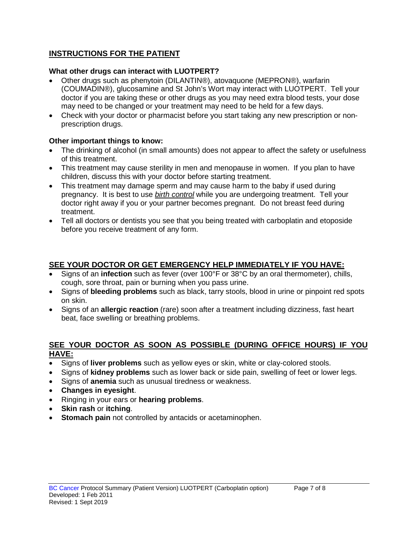# **INSTRUCTIONS FOR THE PATIENT**

### **What other drugs can interact with LUOTPERT?**

- Other drugs such as phenytoin (DILANTIN®), atovaquone (MEPRON®), warfarin (COUMADIN®), glucosamine and St John's Wort may interact with LUOTPERT. Tell your doctor if you are taking these or other drugs as you may need extra blood tests, your dose may need to be changed or your treatment may need to be held for a few days.
- Check with your doctor or pharmacist before you start taking any new prescription or nonprescription drugs.

### **Other important things to know:**

- The drinking of alcohol (in small amounts) does not appear to affect the safety or usefulness of this treatment.
- This treatment may cause sterility in men and menopause in women. If you plan to have children, discuss this with your doctor before starting treatment.
- This treatment may damage sperm and may cause harm to the baby if used during pregnancy. It is best to use *birth control* while you are undergoing treatment. Tell your doctor right away if you or your partner becomes pregnant. Do not breast feed during treatment.
- Tell all doctors or dentists you see that you being treated with carboplatin and etoposide before you receive treatment of any form.

# **SEE YOUR DOCTOR OR GET EMERGENCY HELP IMMEDIATELY IF YOU HAVE:**

- Signs of an **infection** such as fever (over 100°F or 38°C by an oral thermometer), chills, cough, sore throat, pain or burning when you pass urine.
- Signs of **bleeding problems** such as black, tarry stools, blood in urine or pinpoint red spots on skin.
- Signs of an **allergic reaction** (rare) soon after a treatment including dizziness, fast heart beat, face swelling or breathing problems.

### **SEE YOUR DOCTOR AS SOON AS POSSIBLE (DURING OFFICE HOURS) IF YOU HAVE:**

- Signs of **liver problems** such as yellow eyes or skin, white or clay-colored stools.
- Signs of **kidney problems** such as lower back or side pain, swelling of feet or lower legs.
- Signs of **anemia** such as unusual tiredness or weakness.
- **Changes in eyesight**.
- Ringing in your ears or **hearing problems**.
- **Skin rash** or **itching**.
- **Stomach pain** not controlled by antacids or acetaminophen.